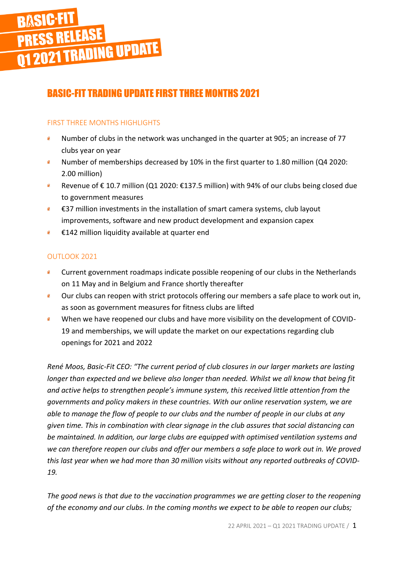# **BÄSIC-FIT<br>PRESS RELEASE<br>Q1 2021 TRADING UPDATE**

# BASIC-FIT TRADING UPDATE FIRST THREE MONTHS 2021

## FIRST THREE MONTHS HIGHLIGHTS

- Number of clubs in the network was unchanged in the quarter at 905; an increase of 77 clubs year on year
- $\mathbf{g}$ Number of memberships decreased by 10% in the first quarter to 1.80 million (Q4 2020: 2.00 million)
- Revenue of € 10.7 million (Q1 2020: €137.5 million) with 94% of our clubs being closed due  $\mathbf{6}$ to government measures
- $\mathbf{g}$ €37 million investments in the installation of smart camera systems, club layout improvements, software and new product development and expansion capex
- $\mathbf{g}$ €142 million liquidity available at quarter end

# OUTLOOK 2021

- $\mathbf{g}$ Current government roadmaps indicate possible reopening of our clubs in the Netherlands on 11 May and in Belgium and France shortly thereafter
- Our clubs can reopen with strict protocols offering our members a safe place to work out in,  $\mathbf{6}$ as soon as government measures for fitness clubs are lifted
- When we have reopened our clubs and have more visibility on the development of COVID- $\mathbf{6}$ 19 and memberships, we will update the market on our expectations regarding club openings for 2021 and 2022

*René Moos, Basic-Fit CEO: "The current period of club closures in our larger markets are lasting longer than expected and we believe also longer than needed. Whilst we all know that being fit and active helps to strengthen people's immune system, this received little attention from the governments and policy makers in these countries. With our online reservation system, we are able to manage the flow of people to our clubs and the number of people in our clubs at any given time. This in combination with clear signage in the club assures that social distancing can be maintained. In addition, our large clubs are equipped with optimised ventilation systems and we can therefore reopen our clubs and offer our members a safe place to work out in. We proved this last year when we had more than 30 million visits without any reported outbreaks of COVID-19.*

*The good news is that due to the vaccination programmes we are getting closer to the reopening of the economy and our clubs. In the coming months we expect to be able to reopen our clubs;*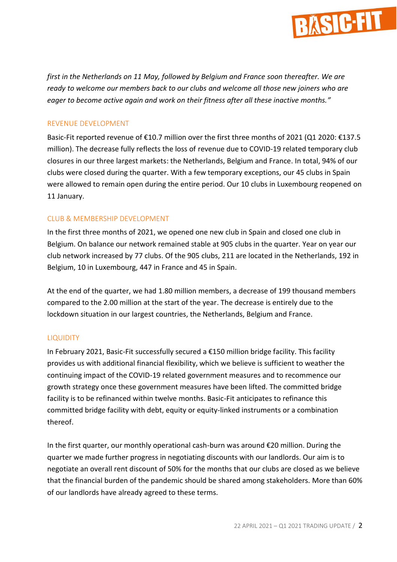

*first in the Netherlands on 11 May, followed by Belgium and France soon thereafter. We are ready to welcome our members back to our clubs and welcome all those new joiners who are eager to become active again and work on their fitness after all these inactive months."*

### REVENUE DEVELOPMENT

Basic-Fit reported revenue of €10.7 million over the first three months of 2021 (Q1 2020: €137.5 million). The decrease fully reflects the loss of revenue due to COVID-19 related temporary club closures in our three largest markets: the Netherlands, Belgium and France. In total, 94% of our clubs were closed during the quarter. With a few temporary exceptions, our 45 clubs in Spain were allowed to remain open during the entire period. Our 10 clubs in Luxembourg reopened on 11 January.

### CLUB & MEMBERSHIP DEVELOPMENT

In the first three months of 2021, we opened one new club in Spain and closed one club in Belgium. On balance our network remained stable at 905 clubs in the quarter. Year on year our club network increased by 77 clubs. Of the 905 clubs, 211 are located in the Netherlands, 192 in Belgium, 10 in Luxembourg, 447 in France and 45 in Spain.

At the end of the quarter, we had 1.80 million members, a decrease of 199 thousand members compared to the 2.00 million at the start of the year. The decrease is entirely due to the lockdown situation in our largest countries, the Netherlands, Belgium and France.

### LIQUIDITY

In February 2021, Basic-Fit successfully secured a €150 million bridge facility. This facility provides us with additional financial flexibility, which we believe is sufficient to weather the continuing impact of the COVID-19 related government measures and to recommence our growth strategy once these government measures have been lifted. The committed bridge facility is to be refinanced within twelve months. Basic-Fit anticipates to refinance this committed bridge facility with debt, equity or equity-linked instruments or a combination thereof.

In the first quarter, our monthly operational cash-burn was around €20 million. During the quarter we made further progress in negotiating discounts with our landlords. Our aim is to negotiate an overall rent discount of 50% for the months that our clubs are closed as we believe that the financial burden of the pandemic should be shared among stakeholders. More than 60% of our landlords have already agreed to these terms.